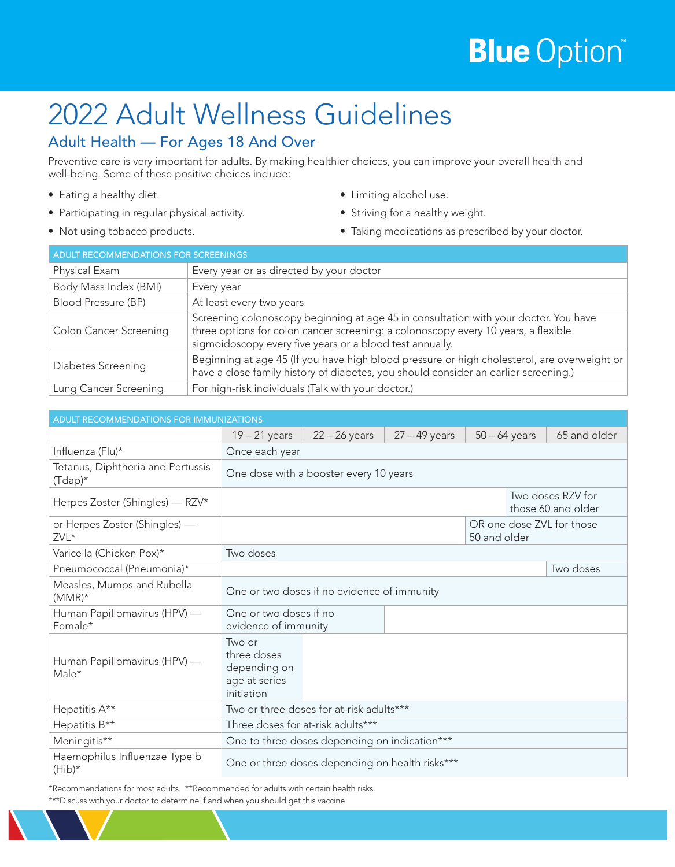# **Blue** Option®

# 2022 Adult Wellness Guidelines

## Adult Health — For Ages 18 And Over

Preventive care is very important for adults. By making healthier choices, you can improve your overall health and well-being. Some of these positive choices include:

- Eating a healthy diet.
- Participating in regular physical activity.
- Not using tobacco products.
- Limiting alcohol use.
- Striving for a healthy weight.
- Taking medications as prescribed by your doctor.

| <b>ADULT RECOMMENDATIONS FOR SCREENINGS</b> |                                                                                                                                                                                                                                        |  |  |
|---------------------------------------------|----------------------------------------------------------------------------------------------------------------------------------------------------------------------------------------------------------------------------------------|--|--|
| Physical Exam                               | Every year or as directed by your doctor                                                                                                                                                                                               |  |  |
| Body Mass Index (BMI)                       | Every year                                                                                                                                                                                                                             |  |  |
| Blood Pressure (BP)                         | At least every two years                                                                                                                                                                                                               |  |  |
| <b>Colon Cancer Screening</b>               | Screening colonoscopy beginning at age 45 in consultation with your doctor. You have<br>three options for colon cancer screening: a colonoscopy every 10 years, a flexible<br>sigmoidoscopy every five years or a blood test annually. |  |  |
| Diabetes Screening                          | Beginning at age 45 (If you have high blood pressure or high cholesterol, are overweight or<br>have a close family history of diabetes, you should consider an earlier screening.)                                                     |  |  |
| Lung Cancer Screening                       | For high-risk individuals (Talk with your doctor.)                                                                                                                                                                                     |  |  |

| ADULT RECOMMENDATIONS FOR IMMUNIZATIONS                      |                                                                      |                 |                 |                 |  |                                         |
|--------------------------------------------------------------|----------------------------------------------------------------------|-----------------|-----------------|-----------------|--|-----------------------------------------|
|                                                              | $19 - 21$ years                                                      | $22 - 26$ years | $27 - 49$ years | $50 - 64$ years |  | 65 and older                            |
| Influenza (Flu)*                                             | Once each year                                                       |                 |                 |                 |  |                                         |
| Tetanus, Diphtheria and Pertussis<br>$(T{\rm{dap}})^{\star}$ | One dose with a booster every 10 years                               |                 |                 |                 |  |                                         |
| Herpes Zoster (Shingles) - RZV*                              |                                                                      |                 |                 |                 |  | Two doses RZV for<br>those 60 and older |
| or Herpes Zoster (Shingles) —<br>ZVL*                        |                                                                      |                 |                 | 50 and older    |  | OR one dose ZVL for those               |
| Varicella (Chicken Pox)*                                     | Two doses                                                            |                 |                 |                 |  |                                         |
| Pneumococcal (Pneumonia)*                                    |                                                                      |                 |                 |                 |  | Two doses                               |
| Measles, Mumps and Rubella<br>$(MMR)^*$                      | One or two doses if no evidence of immunity                          |                 |                 |                 |  |                                         |
| Human Papillomavirus (HPV) —<br>Female*                      | One or two doses if no<br>evidence of immunity                       |                 |                 |                 |  |                                         |
| Human Papillomavirus (HPV) —<br>Male*                        | Two or<br>three doses<br>depending on<br>age at series<br>initiation |                 |                 |                 |  |                                         |
| Hepatitis A**                                                | Two or three doses for at-risk adults***                             |                 |                 |                 |  |                                         |
| Hepatitis B**                                                | Three doses for at-risk adults***                                    |                 |                 |                 |  |                                         |
| Meningitis**                                                 | One to three doses depending on indication***                        |                 |                 |                 |  |                                         |
| Haemophilus Influenzae Type b<br>$(Hib)^*$                   | One or three doses depending on health risks***                      |                 |                 |                 |  |                                         |

\*Recommendations for most adults. \*\*Recommended for adults with certain health risks. \*\*\*Discuss with your doctor to determine if and when you should get this vaccine.